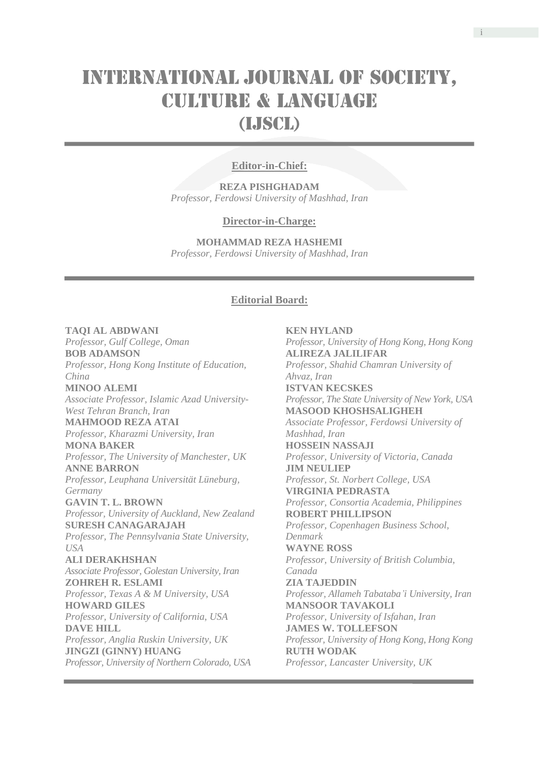# INTERNATIONAL JOURNAL OF SOCIETY, **CULTURE & LANGUAGE** (LISCL)

## **Editor-in-Chief:**

**REZA PISHGHADAM** *Professor, Ferdowsi University of Mashhad, Iran*

#### **Director-in-Charge:**

**MOHAMMAD REZA HASHEMI** *Professor, Ferdowsi University of Mashhad, Iran*

#### **Editorial Board:**

## **TAQI AL ABDWANI** *Professor, Gulf College, Oman* **BOB ADAMSON** *Professor, Hong Kong Institute of Education, China* **MINOO ALEMI** *Associate Professor, Islamic Azad University-West Tehran Branch, Iran* **MAHMOOD REZA ATAI** *Professor, Kharazmi University, Iran* **MONA BAKER** *Professor, The University of Manchester, UK* **ANNE BARRON** *Professor, Leuphana Universität Lüneburg, Germany* **GAVIN T. L. BROWN** *Professor, University of Auckland, New Zealand* **SURESH CANAGARAJAH** *Professor, The Pennsylvania State University, USA* **ALI DERAKHSHAN** *Associate Professor, Golestan University, Iran* **ZOHREH R. ESLAMI** *Professor, Texas A & M University, USA* **HOWARD GILES**

*Professor, University of California, USA* **DAVE HILL** *Professor, Anglia Ruskin University, UK* **JINGZI (GINNY) HUANG** *Professor, University of Northern Colorado, USA*

**KEN HYLAND** *Professor, University of Hong Kong, Hong Kong* **ALIREZA JALILIFAR** *Professor, Shahid Chamran University of Ahvaz, Iran* **ISTVAN KECSKES** *Professor, The State University of New York, USA* **MASOOD KHOSHSALIGHEH** *Associate Professor, Ferdowsi University of Mashhad, Iran* **HOSSEIN NASSAJI** *Professor, University of Victoria, Canada* **JIM NEULIEP** *Professor, St. Norbert College, USA* **VIRGINIA PEDRASTA** *Professor, Consortia Academia, Philippines* **ROBERT PHILLIPSON** *Professor, Copenhagen Business School, Denmark* **WAYNE ROSS** *Professor, University of British Columbia, Canada* **ZIA TAJEDDIN** *Professor, Allameh Tabataba'i University, Iran* **MANSOOR TAVAKOLI** *Professor, University of Isfahan, Iran* **JAMES W. TOLLEFSON** *Professor, University of Hong Kong, Hong Kong* **RUTH WODAK** *Professor, Lancaster University, UK*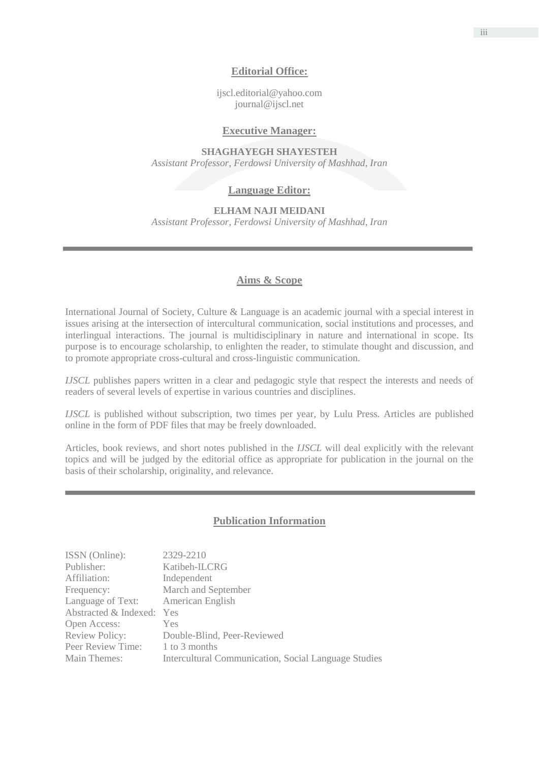## **Editorial Office:**

[ijscl.editorial@yahoo.com](mailto:ijscl.editorial@yahoo.com) journal@ijscl.net

#### **Executive Manager:**

**SHAGHAYEGH SHAYESTEH** *Assistant Professor, Ferdowsi University of Mashhad, Iran*

## **Language Editor:**

#### **ELHAM NAJI MEIDANI**

*Assistant Professor, Ferdowsi University of Mashhad, Iran*

## **Aims & Scope**

International Journal of Society, Culture & Language is an academic journal with a special interest in issues arising at the intersection of intercultural communication, social institutions and processes, and interlingual interactions. The journal is multidisciplinary in nature and international in scope. Its purpose is to encourage scholarship, to enlighten the reader, to stimulate thought and discussion, and to promote appropriate cross-cultural and cross-linguistic communication.

*IJSCL* publishes papers written in a clear and pedagogic style that respect the interests and needs of readers of several levels of expertise in various countries and disciplines.

*IJSCL* is published without subscription, two times per year, by Lulu Press. Articles are published online in the form of PDF files that may be freely downloaded.

Articles, book reviews, and short notes published in the *IJSCL* will deal explicitly with the relevant topics and will be judged by the editorial office as appropriate for publication in the journal on the basis of their scholarship, originality, and relevance.

## **Publication Information**

| 2329-2210                                                   |
|-------------------------------------------------------------|
| Katibeh-ILCRG                                               |
| Independent                                                 |
| March and September                                         |
| American English                                            |
| Abstracted & Indexed:<br>Yes                                |
| <b>Yes</b>                                                  |
| Double-Blind, Peer-Reviewed                                 |
| 1 to 3 months                                               |
| <b>Intercultural Communication, Social Language Studies</b> |
|                                                             |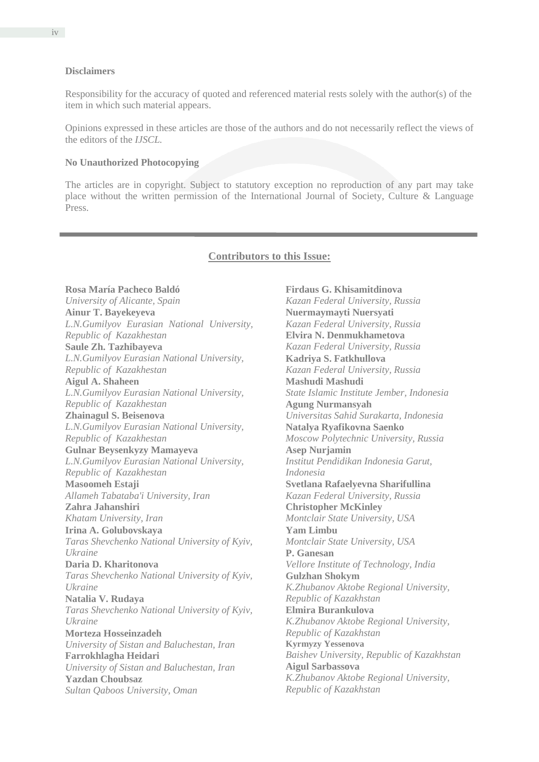Responsibility for the accuracy of quoted and referenced material rests solely with the author(s) of the item in which such material appears.

Opinions expressed in these articles are those of the authors and do not necessarily reflect the views of the editors of the *IJSCL.*

#### **No Unauthorized Photocopying**

The articles are in copyright. Subject to statutory exception no reproduction of any part may take place without the written permission of the International Journal of Society, Culture & Language Press.

#### **Contributors to this Issue:**

**Rosa María Pacheco Baldó** *University of Alicante, Spain* **Ainur T. Bayekeyeva** *L.N.Gumilyov Eurasian National University, Republic of Kazakhestan* **Saule Zh. Tazhibayeva** *L.N.Gumilyov Eurasian National University, Republic of Kazakhestan* **Aigul A. Shaheen** *L.N.Gumilyov Eurasian National University, Republic of Kazakhestan* **Zhainagul S. Beisenova** *L.N.Gumilyov Eurasian National University, Republic of Kazakhestan* **Gulnar Beysenkyzy Mamayeva** *L.N.Gumilyov Eurasian National University, Republic of Kazakhestan* **Masoomeh Estaji** *Allameh Tabataba'i University, Iran* **Zahra Jahanshiri** *Khatam University, Iran* **Irina A. Golubovskaya** *Taras Shevchenko National University of Kyiv, Ukraine* **Daria D. Kharitonova** *Taras Shevchenko National University of Kyiv, Ukraine* **Natalia V. Rudaya** *Taras Shevchenko National University of Kyiv, Ukraine* **Morteza Hosseinzadeh** *University of Sistan and Baluchestan, Iran* **Farrokhlagha Heidari** *University of Sistan and Baluchestan, Iran* **Yazdan Choubsaz** *Sultan Qaboos University, Oman*

**Firdaus G. Khisamitdinova** *Kazan Federal University, Russia* **Nuermaymayti Nuersyati** *Kazan Federal University, Russia* **Elvira N. Denmukhametova** *Kazan Federal University, Russia* **Kadriya S. Fatkhullova** *Kazan Federal University, Russia* **Mashudi Mashudi** *State Islamic Institute Jember, Indonesia* **Agung Nurmansyah** *Universitas Sahid Surakarta, Indonesia* **Natalya Ryafikovna Saenko** *Moscow Polytechnic University, Russia* **Asep Nurjamin** *Institut Pendidikan Indonesia Garut, Indonesia*  **Svetlana Rafaelyevna Sharifullina** *Kazan Federal University, Russia* **Christopher McKinley** *Montclair State University, USA* **Yam Limbu** *Montclair State University, USA* **P. Ganesan** *Vellore Institute of Technology, India* **Gulzhan Shokym** *K.Zhubanov Aktobe Regional University, Republic of Kazakhstan* **Elmira Burankulova** *K.Zhubanov Aktobe Regional University, Republic of Kazakhstan* **Kyrmyzy Yessenova** *Baishev University, Republic of Kazakhstan* **Aigul Sarbassova** *K.Zhubanov Aktobe Regional University, Republic of Kazakhstan*